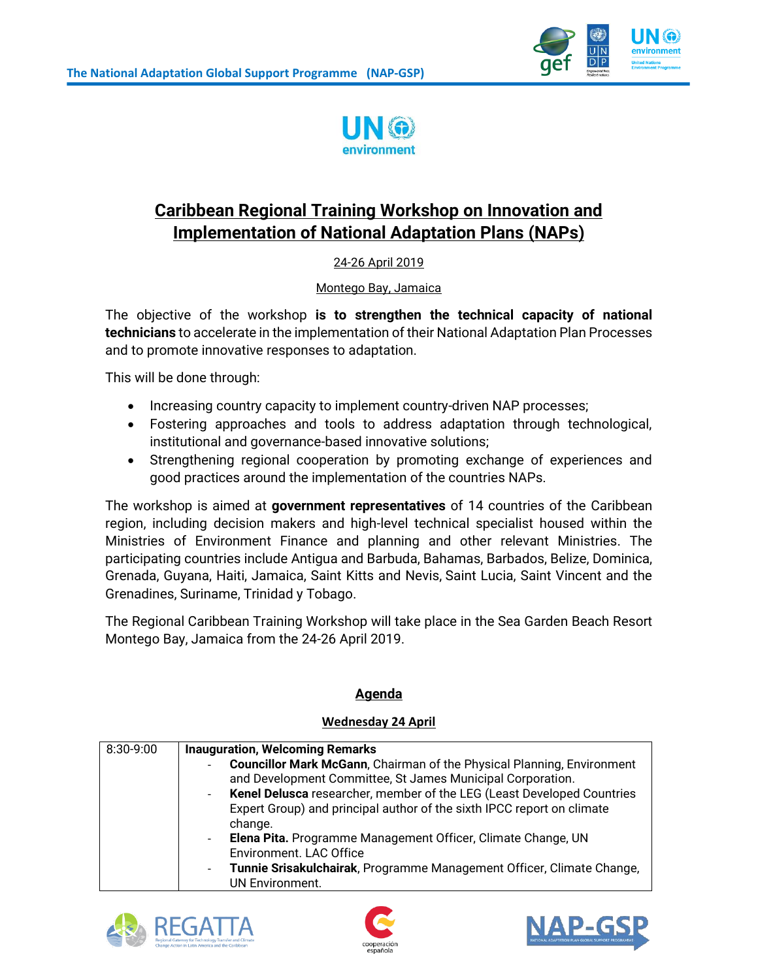



# **Caribbean Regional Training Workshop on Innovation and Implementation of National Adaptation Plans (NAPs)**

## 24-26 April 2019

Montego Bay, Jamaica

The objective of the workshop **is to strengthen the technical capacity of national technicians** to accelerate in the implementation of their National Adaptation Plan Processes and to promote innovative responses to adaptation.

This will be done through:

- Increasing country capacity to implement country-driven NAP processes;
- Fostering approaches and tools to address adaptation through technological, institutional and governance-based innovative solutions;
- Strengthening regional cooperation by promoting exchange of experiences and good practices around the implementation of the countries NAPs.

The workshop is aimed at **government representatives** of 14 countries of the Caribbean region, including decision makers and high-level technical specialist housed within the Ministries of Environment Finance and planning and other relevant Ministries. The participating countries include Antigua and Barbuda, Bahamas, Barbados, Belize, Dominica, Grenada, Guyana, Haiti, Jamaica, Saint Kitts and Nevis, Saint Lucia, Saint Vincent and the Grenadines, Suriname, Trinidad y Tobago.

The Regional Caribbean Training Workshop will take place in the Sea Garden Beach Resort Montego Bay, Jamaica from the 24-26 April 2019.

### **Agenda**

#### **Wednesday 24 April**

| 8:30-9:00 | <b>Inauguration, Welcoming Remarks</b>                                        |
|-----------|-------------------------------------------------------------------------------|
|           | <b>Councillor Mark McGann, Chairman of the Physical Planning, Environment</b> |
|           | and Development Committee, St James Municipal Corporation.                    |
|           | - Kenel Delusca researcher, member of the LEG (Least Developed Countries      |
|           | Expert Group) and principal author of the sixth IPCC report on climate        |
|           | change.                                                                       |
|           | - Elena Pita. Programme Management Officer, Climate Change, UN                |
|           | Environment. LAC Office                                                       |
|           | Tunnie Srisakulchairak, Programme Management Officer, Climate Change,         |
|           | <b>UN Environment.</b>                                                        |





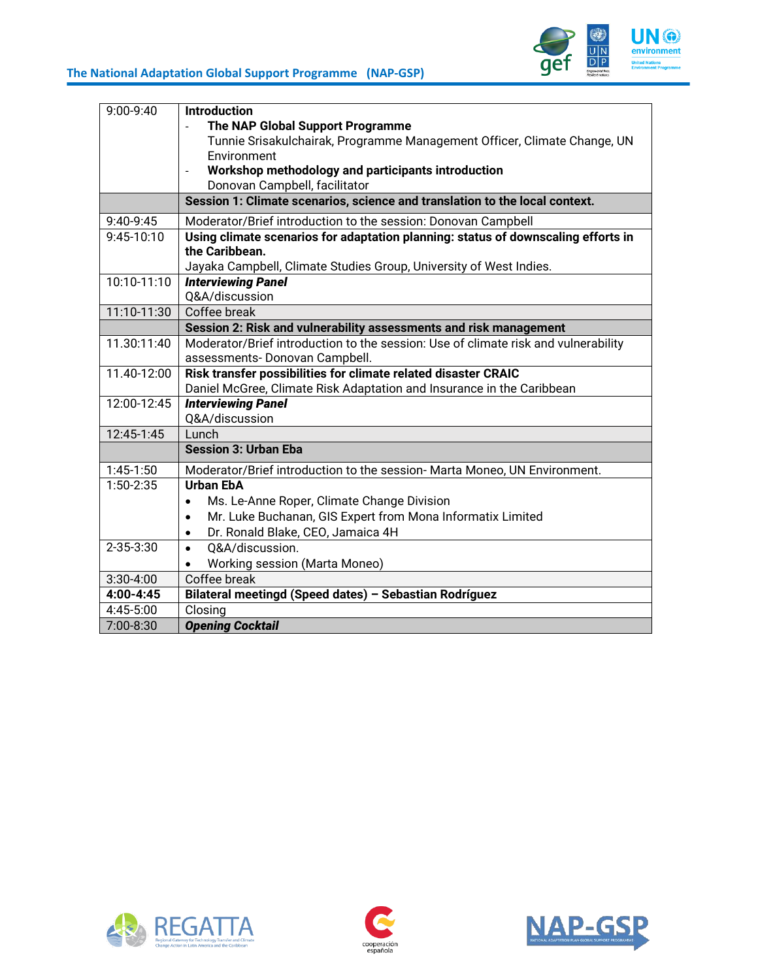## **The National Adaptation Global Support Programme (NAP-GSP)**



| 9:00-9:40   | <b>Introduction</b>                                                                |
|-------------|------------------------------------------------------------------------------------|
|             | The NAP Global Support Programme                                                   |
|             | Tunnie Srisakulchairak, Programme Management Officer, Climate Change, UN           |
|             | Environment                                                                        |
|             | Workshop methodology and participants introduction                                 |
|             | Donovan Campbell, facilitator                                                      |
|             | Session 1: Climate scenarios, science and translation to the local context.        |
| 9:40-9:45   | Moderator/Brief introduction to the session: Donovan Campbell                      |
| 9:45-10:10  | Using climate scenarios for adaptation planning: status of downscaling efforts in  |
|             | the Caribbean.                                                                     |
|             | Jayaka Campbell, Climate Studies Group, University of West Indies.                 |
| 10:10-11:10 | <b>Interviewing Panel</b>                                                          |
|             | Q&A/discussion                                                                     |
| 11:10-11:30 | Coffee break                                                                       |
|             | Session 2: Risk and vulnerability assessments and risk management                  |
| 11.30:11:40 | Moderator/Brief introduction to the session: Use of climate risk and vulnerability |
|             | assessments- Donovan Campbell.                                                     |
| 11.40-12:00 | Risk transfer possibilities for climate related disaster CRAIC                     |
|             | Daniel McGree, Climate Risk Adaptation and Insurance in the Caribbean              |
| 12:00-12:45 | <b>Interviewing Panel</b>                                                          |
|             | Q&A/discussion                                                                     |
| 12:45-1:45  | Lunch                                                                              |
|             | <b>Session 3: Urban Eba</b>                                                        |
| $1:45-1:50$ | Moderator/Brief introduction to the session- Marta Moneo, UN Environment.          |
| 1:50-2:35   | <b>Urban EbA</b>                                                                   |
|             | Ms. Le-Anne Roper, Climate Change Division<br>$\bullet$                            |
|             | Mr. Luke Buchanan, GIS Expert from Mona Informatix Limited<br>$\bullet$            |
|             | Dr. Ronald Blake, CEO, Jamaica 4H<br>$\bullet$                                     |
| 2-35-3:30   | 0&A/discussion.<br>$\bullet$                                                       |
|             | Working session (Marta Moneo)                                                      |
| $3:30-4:00$ | Coffee break                                                                       |
| 4:00-4:45   | Bilateral meetingd (Speed dates) - Sebastian Rodríguez                             |
| 4:45-5:00   | Closing                                                                            |
| 7:00-8:30   | <b>Opening Cocktail</b>                                                            |